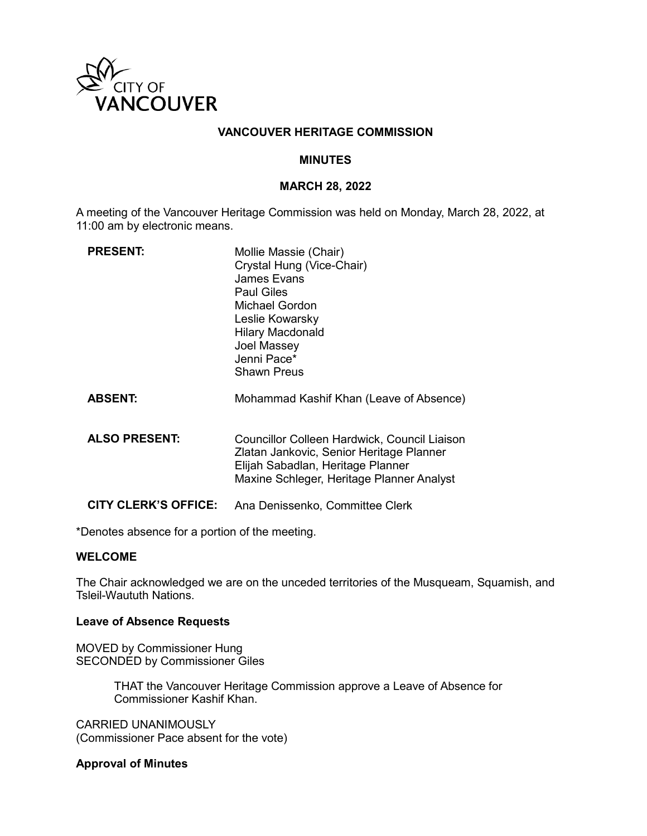

## **VANCOUVER HERITAGE COMMISSION**

### **MINUTES**

## **MARCH 28, 2022**

A meeting of the Vancouver Heritage Commission was held on Monday, March 28, 2022, at 11:00 am by electronic means.

| <b>PRESENT:</b>             | Mollie Massie (Chair)<br>Crystal Hung (Vice-Chair)<br><b>James Evans</b><br><b>Paul Giles</b><br><b>Michael Gordon</b><br>Leslie Kowarsky<br><b>Hilary Macdonald</b><br>Joel Massey<br>Jenni Pace*<br><b>Shawn Preus</b> |
|-----------------------------|--------------------------------------------------------------------------------------------------------------------------------------------------------------------------------------------------------------------------|
| <b>ABSENT:</b>              | Mohammad Kashif Khan (Leave of Absence)                                                                                                                                                                                  |
| <b>ALSO PRESENT:</b>        | Councillor Colleen Hardwick, Council Liaison<br>Zlatan Jankovic, Senior Heritage Planner<br>Elijah Sabadlan, Heritage Planner<br>Maxine Schleger, Heritage Planner Analyst                                               |
| <b>CITY CLERK'S OFFICE:</b> | Ana Denissenko, Committee Clerk                                                                                                                                                                                          |

\*Denotes absence for a portion of the meeting.

## **WELCOME**

The Chair acknowledged we are on the unceded territories of the Musqueam, Squamish, and Tsleil-Waututh Nations.

#### **Leave of Absence Requests**

MOVED by Commissioner Hung SECONDED by Commissioner Giles

> THAT the Vancouver Heritage Commission approve a Leave of Absence for Commissioner Kashif Khan.

CARRIED UNANIMOUSLY (Commissioner Pace absent for the vote)

### **Approval of Minutes**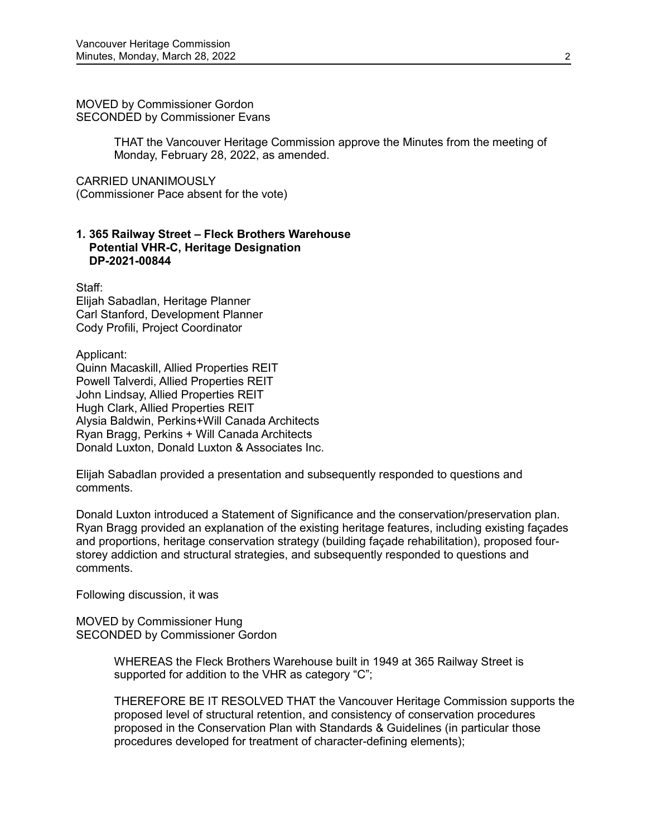MOVED by Commissioner Gordon SECONDED by Commissioner Evans

> THAT the Vancouver Heritage Commission approve the Minutes from the meeting of Monday, February 28, 2022, as amended.

CARRIED UNANIMOUSLY

(Commissioner Pace absent for the vote)

## **1. 365 Railway Street – Fleck Brothers Warehouse Potential VHR-C, Heritage Designation DP-2021-00844**

Staff: Elijah Sabadlan, Heritage Planner Carl Stanford, Development Planner Cody Profili, Project Coordinator

Applicant: Quinn Macaskill, Allied Properties REIT Powell Talverdi, Allied Properties REIT John Lindsay, Allied Properties REIT Hugh Clark, Allied Properties REIT Alysia Baldwin, Perkins+Will Canada Architects Ryan Bragg, Perkins + Will Canada Architects Donald Luxton, Donald Luxton & Associates Inc.

Elijah Sabadlan provided a presentation and subsequently responded to questions and comments.

Donald Luxton introduced a Statement of Significance and the conservation/preservation plan. Ryan Bragg provided an explanation of the existing heritage features, including existing façades and proportions, heritage conservation strategy (building façade rehabilitation), proposed fourstorey addiction and structural strategies, and subsequently responded to questions and comments.

Following discussion, it was

MOVED by Commissioner Hung SECONDED by Commissioner Gordon

> WHEREAS the Fleck Brothers Warehouse built in 1949 at 365 Railway Street is supported for addition to the VHR as category "C";

THEREFORE BE IT RESOLVED THAT the Vancouver Heritage Commission supports the proposed level of structural retention, and consistency of conservation procedures proposed in the Conservation Plan with Standards & Guidelines (in particular those procedures developed for treatment of character-defining elements);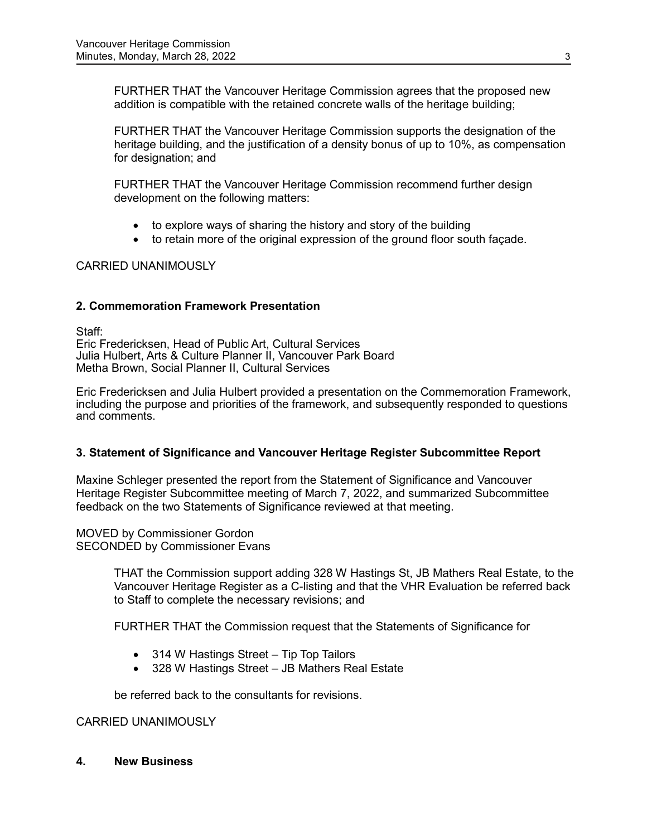FURTHER THAT the Vancouver Heritage Commission agrees that the proposed new addition is compatible with the retained concrete walls of the heritage building;

FURTHER THAT the Vancouver Heritage Commission supports the designation of the heritage building, and the justification of a density bonus of up to 10%, as compensation for designation; and

FURTHER THAT the Vancouver Heritage Commission recommend further design development on the following matters:

- to explore ways of sharing the history and story of the building
- to retain more of the original expression of the ground floor south façade.

## CARRIED UNANIMOUSLY

## **2. Commemoration Framework Presentation**

Staff: Eric Fredericksen, Head of Public Art, Cultural Services Julia Hulbert, Arts & Culture Planner II, Vancouver Park Board Metha Brown, Social Planner II, Cultural Services

Eric Fredericksen and Julia Hulbert provided a presentation on the Commemoration Framework, including the purpose and priorities of the framework, and subsequently responded to questions and comments.

## **3. Statement of Significance and Vancouver Heritage Register Subcommittee Report**

Maxine Schleger presented the report from the Statement of Significance and Vancouver Heritage Register Subcommittee meeting of March 7, 2022, and summarized Subcommittee feedback on the two Statements of Significance reviewed at that meeting.

MOVED by Commissioner Gordon SECONDED by Commissioner Evans

> THAT the Commission support adding 328 W Hastings St, JB Mathers Real Estate, to the Vancouver Heritage Register as a C-listing and that the VHR Evaluation be referred back to Staff to complete the necessary revisions; and

FURTHER THAT the Commission request that the Statements of Significance for

- 314 W Hastings Street Tip Top Tailors
- 328 W Hastings Street JB Mathers Real Estate

be referred back to the consultants for revisions.

### CARRIED UNANIMOUSLY

**4. New Business**